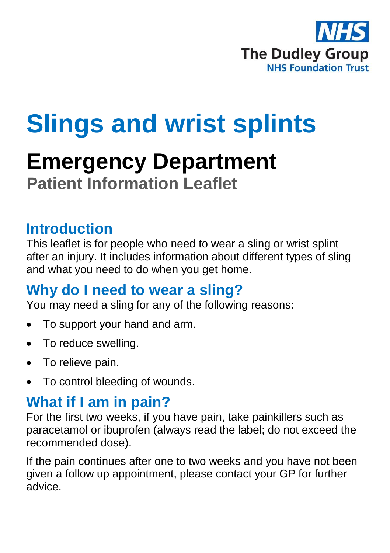

# **Slings and wrist splints**

## **Emergency Department Patient Information Leaflet**

### **Introduction**

This leaflet is for people who need to wear a sling or wrist splint after an injury. It includes information about different types of sling and what you need to do when you get home.

#### **Why do I need to wear a sling?**

You may need a sling for any of the following reasons:

- To support your hand and arm.
- To reduce swelling.
- To relieve pain.
- To control bleeding of wounds.

## **What if I am in pain?**

For the first two weeks, if you have pain, take painkillers such as paracetamol or ibuprofen (always read the label; do not exceed the recommended dose).

If the pain continues after one to two weeks and you have not been given a follow up appointment, please contact your GP for further advice.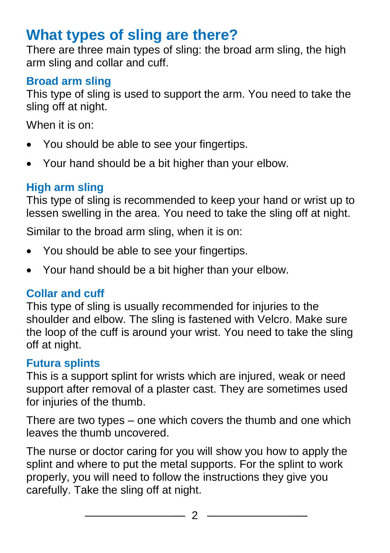## **What types of sling are there?**

There are three main types of sling: the broad arm sling, the high arm sling and collar and cuff.

#### **Broad arm sling**

This type of sling is used to support the arm. You need to take the sling off at night.

When it is on:

- You should be able to see your fingertips.
- Your hand should be a bit higher than your elbow.

#### **High arm sling**

This type of sling is recommended to keep your hand or wrist up to lessen swelling in the area. You need to take the sling off at night.

Similar to the broad arm sling, when it is on:

- You should be able to see your fingertips.
- Your hand should be a bit higher than your elbow.

#### **Collar and cuff**

This type of sling is usually recommended for injuries to the shoulder and elbow. The sling is fastened with Velcro. Make sure the loop of the cuff is around your wrist. You need to take the sling off at night.

#### **Futura splints**

This is a support splint for wrists which are injured, weak or need support after removal of a plaster cast. They are sometimes used for injuries of the thumb.

There are two types – one which covers the thumb and one which leaves the thumb uncovered.

The nurse or doctor caring for you will show you how to apply the splint and where to put the metal supports. For the splint to work properly, you will need to follow the instructions they give you carefully. Take the sling off at night.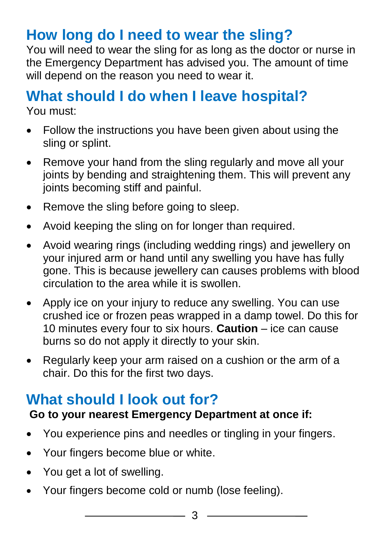## **How long do I need to wear the sling?**

You will need to wear the sling for as long as the doctor or nurse in the Emergency Department has advised you. The amount of time will depend on the reason you need to wear it.

## **What should I do when I leave hospital?**

You must:

- Follow the instructions you have been given about using the sling or splint.
- Remove your hand from the sling regularly and move all your joints by bending and straightening them. This will prevent any joints becoming stiff and painful.
- Remove the sling before going to sleep.
- Avoid keeping the sling on for longer than required.
- Avoid wearing rings (including wedding rings) and jewellery on your injured arm or hand until any swelling you have has fully gone. This is because jewellery can causes problems with blood circulation to the area while it is swollen.
- Apply ice on your injury to reduce any swelling. You can use crushed ice or frozen peas wrapped in a damp towel. Do this for 10 minutes every four to six hours. **Caution** – ice can cause burns so do not apply it directly to your skin.
- Regularly keep your arm raised on a cushion or the arm of a chair. Do this for the first two days.

## **What should I look out for?**

#### **Go to your nearest Emergency Department at once if:**

- You experience pins and needles or tingling in your fingers.
- Your fingers become blue or white.
- You get a lot of swelling.
- Your fingers become cold or numb (lose feeling).